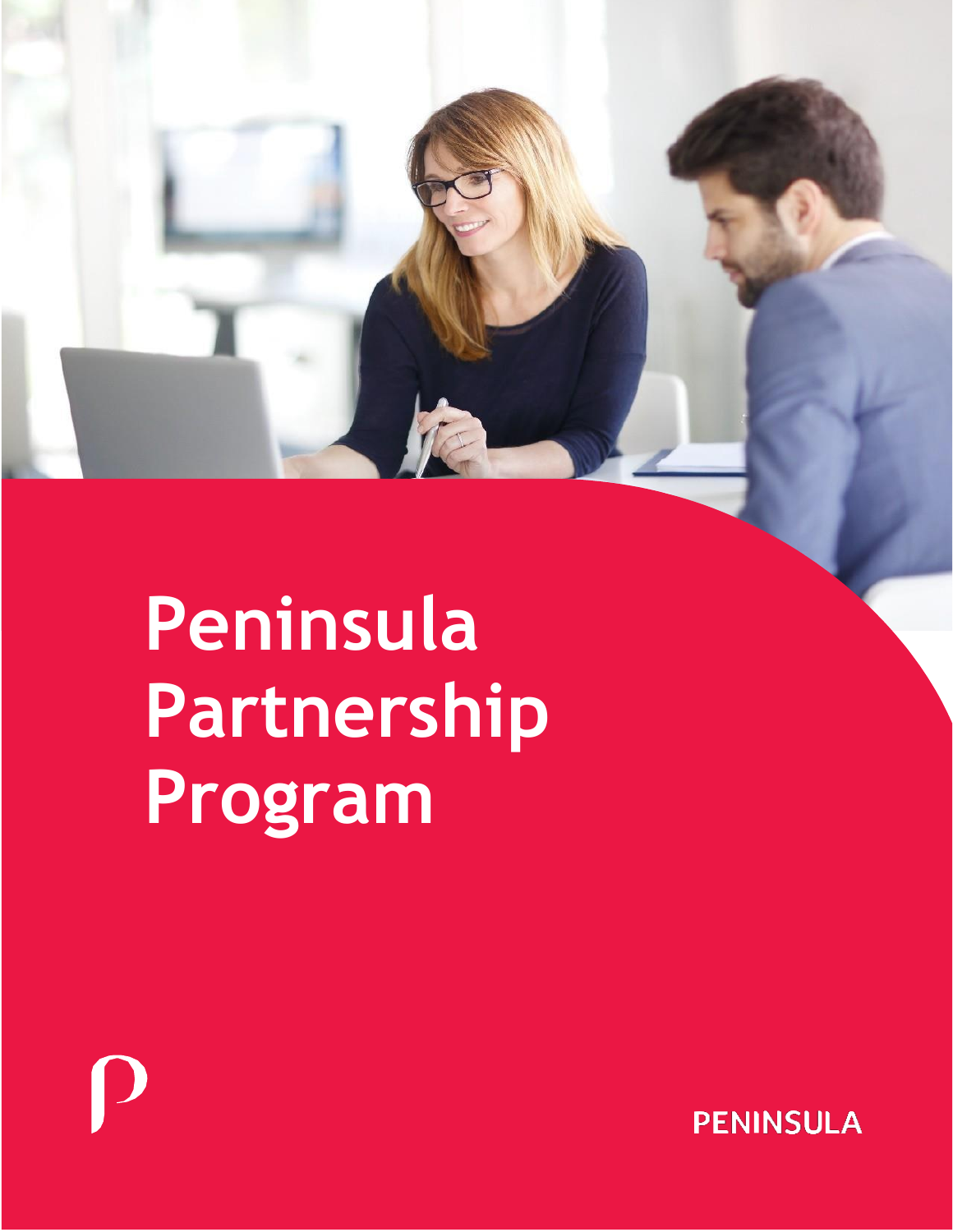# **Peninsula Partnership Program**

**PENINSULA**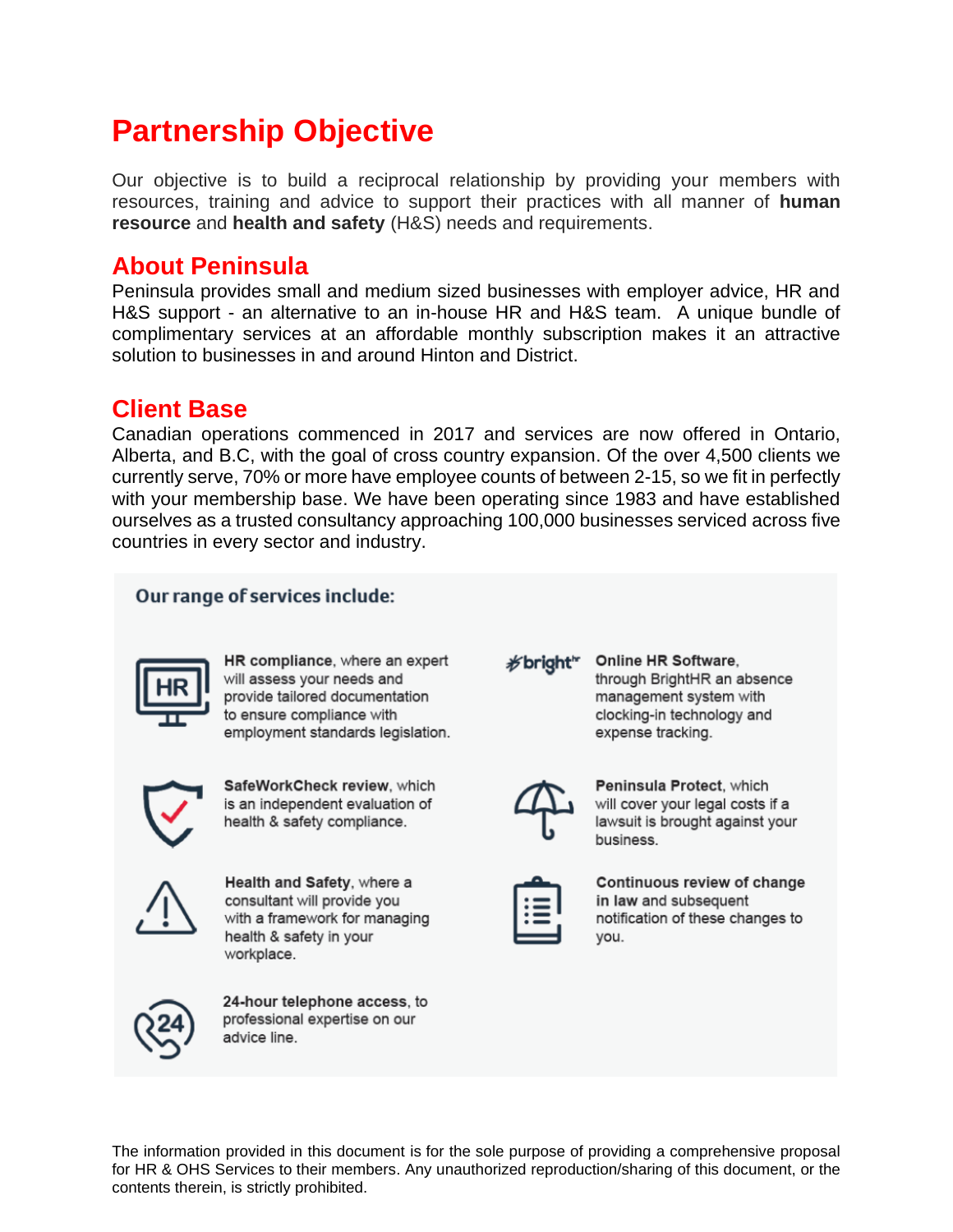## **Partnership Objective**

Our objective is to build a reciprocal relationship by providing your members with resources, training and advice to support their practices with all manner of **human resource** and **health and safety** (H&S) needs and requirements.

### **About Peninsula**

Peninsula provides small and medium sized businesses with employer advice, HR and H&S support - an alternative to an in-house HR and H&S team. A unique bundle of complimentary services at an affordable monthly subscription makes it an attractive solution to businesses in and around Hinton and District.

#### **Client Base**

Canadian operations commenced in 2017 and services are now offered in Ontario, Alberta, and B.C, with the goal of cross country expansion. Of the over 4,500 clients we currently serve, 70% or more have employee counts of between 2-15, so we fit in perfectly with your membership base. We have been operating since 1983 and have established ourselves as a trusted consultancy approaching 100,000 businesses serviced across five countries in every sector and industry.

#### Our range of services include:



HR compliance, where an expert will assess your needs and provide tailored documentation to ensure compliance with employment standards legislation.



SafeWorkCheck review, which is an independent evaluation of health & safety compliance.



Health and Safety, where a consultant will provide you with a framework for managing health & safety in your workplace.



24-hour telephone access, to professional expertise on our advice line.

∦bright"

Online HR Software, through BrightHR an absence management system with clocking-in technology and expense tracking.



Peninsula Protect, which will cover your legal costs if a lawsuit is brought against your business.

| ı |
|---|
|   |
| ٠ |
|   |

Continuous review of change in law and subsequent notification of these changes to vou.

The information provided in this document is for the sole purpose of providing a comprehensive proposal for HR & OHS Services to their members. Any unauthorized reproduction/sharing of this document, or the contents therein, is strictly prohibited.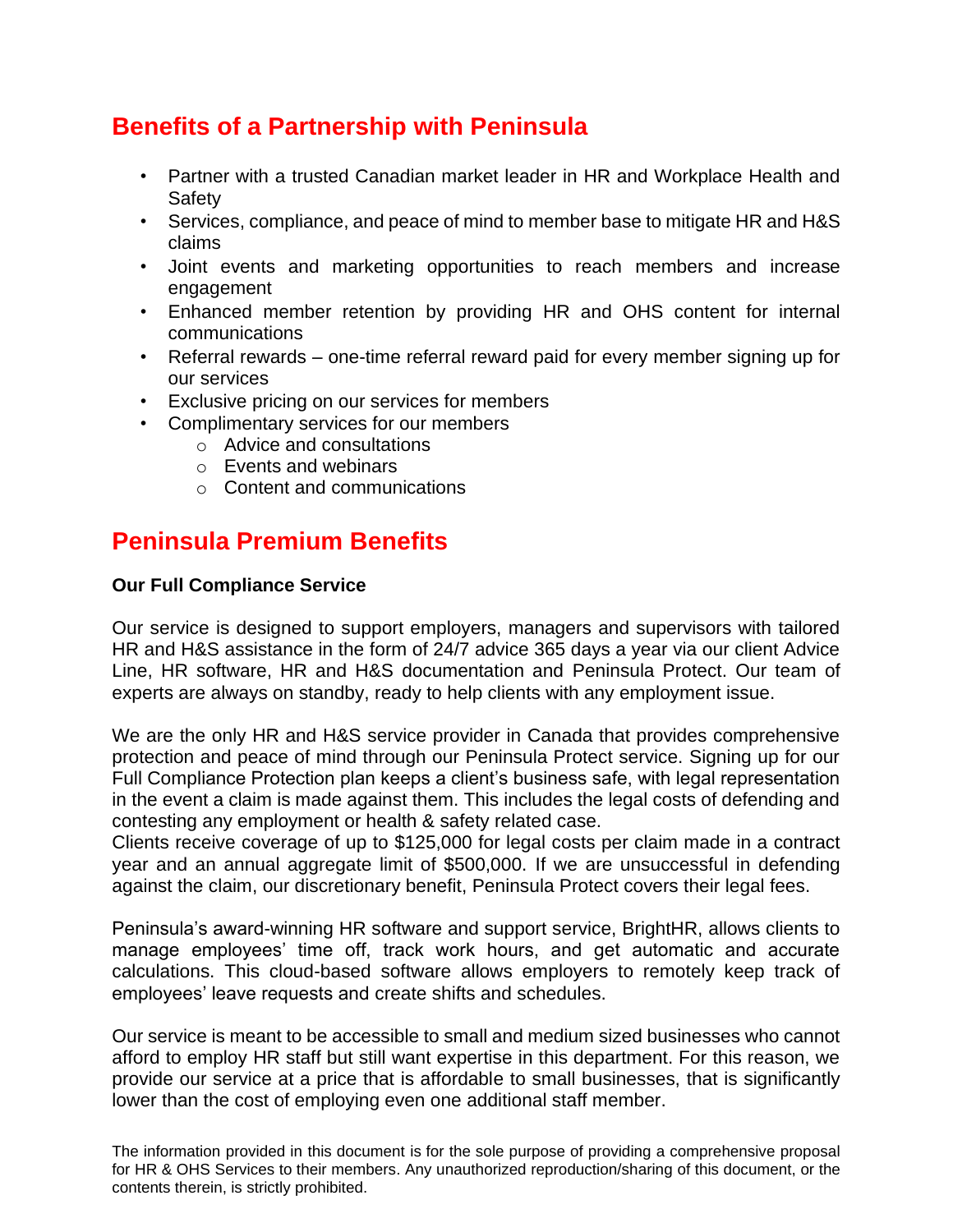## **Benefits of a Partnership with Peninsula**

- Partner with a trusted Canadian market leader in HR and Workplace Health and **Safety**
- Services, compliance, and peace of mind to member base to mitigate HR and H&S claims
- Joint events and marketing opportunities to reach members and increase engagement
- Enhanced member retention by providing HR and OHS content for internal communications
- Referral rewards one-time referral reward paid for every member signing up for our services
- Exclusive pricing on our services for members
- Complimentary services for our members
	- o Advice and consultations
	- o Events and webinars
	- o Content and communications

## **Peninsula Premium Benefits**

#### **Our Full Compliance Service**

Our service is designed to support employers, managers and supervisors with tailored HR and H&S assistance in the form of 24/7 advice 365 days a year via our client Advice Line, HR software, HR and H&S documentation and Peninsula Protect. Our team of experts are always on standby, ready to help clients with any employment issue.

We are the only HR and H&S service provider in Canada that provides comprehensive protection and peace of mind through our Peninsula Protect service. Signing up for our Full Compliance Protection plan keeps a client's business safe, with legal representation in the event a claim is made against them. This includes the legal costs of defending and contesting any employment or health & safety related case.

Clients receive coverage of up to \$125,000 for legal costs per claim made in a contract year and an annual aggregate limit of \$500,000. If we are unsuccessful in defending against the claim, our discretionary benefit, Peninsula Protect covers their legal fees.

Peninsula's award-winning HR software and support service, BrightHR, allows clients to manage employees' time off, track work hours, and get automatic and accurate calculations. This cloud-based software allows employers to remotely keep track of employees' leave requests and create shifts and schedules.

Our service is meant to be accessible to small and medium sized businesses who cannot afford to employ HR staff but still want expertise in this department. For this reason, we provide our service at a price that is affordable to small businesses, that is significantly lower than the cost of employing even one additional staff member.

The information provided in this document is for the sole purpose of providing a comprehensive proposal for HR & OHS Services to their members. Any unauthorized reproduction/sharing of this document, or the contents therein, is strictly prohibited.